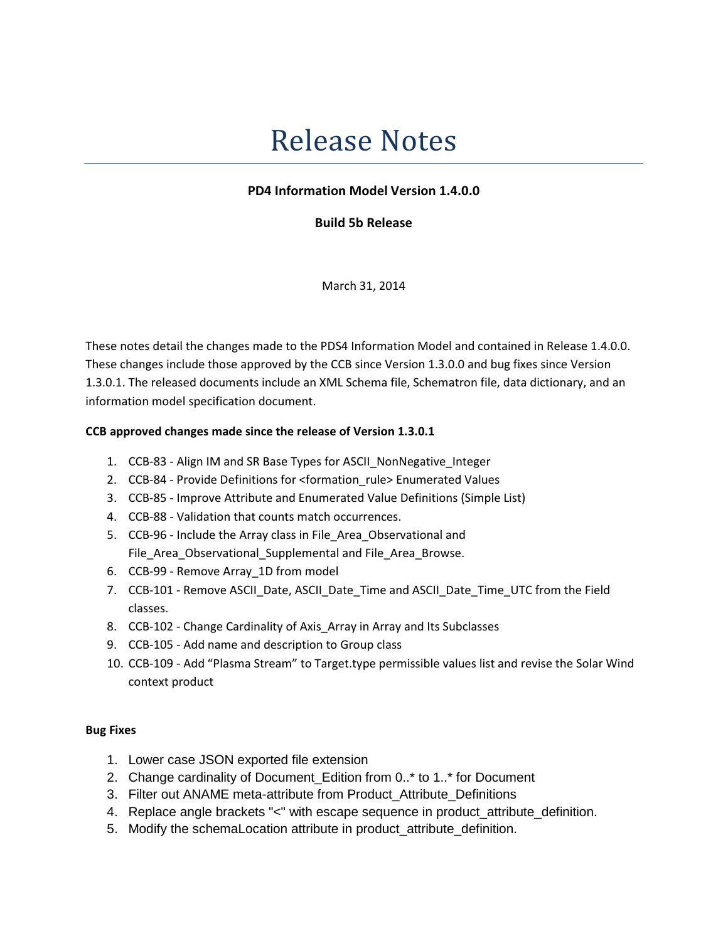## Release Notes

## PD4 Information Model Version 1.4.0.0

Build 5b Release

March 31, 2014

These notes detail the changes made to the PDS4 Information Model and contained in Release 1.4.0.0. These changes include those approved by the CCB since Version 1.3.0.0 and bug fixes since Version 1.3.0.1. The released documents include an XML Schema file, Schematron file, data dictionary, and an information model specification document.

## CCB approved changes made since the release of Version 1.3.0.1

- 1. CCB-83 Align IM and SR Base Types for ASCII\_NonNegative\_Integer
- 2. CCB-84 Provide Definitions for <formation\_rule> Enumerated Values
- 3. CCB-85 Improve Attribute and Enumerated Value Definitions (Simple List)
- 4. CCB-88 Validation that counts match occurrences.
- 5. CCB-96 Include the Array class in File\_Area\_Observational and File\_Area\_Observational\_Supplemental and File\_Area\_Browse.
- 6. CCB-99 Remove Array\_1D from model
- 7. CCB-101 Remove ASCII\_Date, ASCII\_Date\_Time and ASCII\_Date\_Time\_UTC from the Field classes.
- 8. CCB-102 Change Cardinality of Axis\_Array in Array and Its Subclasses
- 9. CCB-105 Add name and description to Group class
- 10. CCB-109 Add "Plasma Stream" to Target.type permissible values list and revise the Solar Wind context product

## Bug Fixes

- 1. Lower case JSON exported file extension
- 2. Change cardinality of Document\_Edition from 0..\* to 1..\* for Document
- 3. Filter out ANAME meta-attribute from Product Attribute Definitions
- 4. Replace angle brackets "<" with escape sequence in product attribute definition.
- 5. Modify the schemaLocation attribute in product\_attribute\_definition.